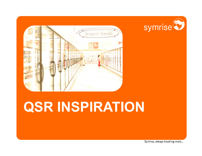

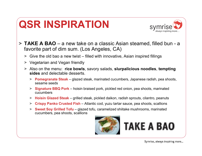![](_page_1_Picture_1.jpeg)

- > **TAKE A BAO** a new take on a classic Asian steamed, filled bun <sup>a</sup> favorite part of dim sum. (Los Angeles, CA)
	- > Give the old bao a new twist filled with innovative, Asian inspired fillings
	- > Vegetarian and Vegan friendly
	- > Also on the menu: **rice bowls**, savory salads, **slurpalicious noodles**, **tempting sides** and delectable desserts.
		- > **Pomegranate Steak** glazed steak, marinated cucumbers, Japanese radish, pea shoots, sesame seeds
		- > **Signature BBQ Pork** hoisin braised pork, pickled red onion, pea shoots, marinated cucumbers
		- > **Hoisin Glazed Steak** grilled steak, pickled daikon, radish sprouts, cilantro, peanuts
		- > **Crispy Panko Crusted Fish** Atlantic cod, yuzu tartar sauce, pea shoots, scallions
		- > **Sweet Soy Grilled Tofu** glazed tofu, caramelized shiitake mushrooms, marinated cucumbers, pea shoots, scallions

![](_page_1_Picture_11.jpeg)

## TAKE A BAO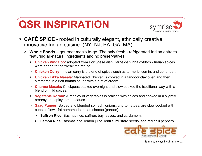![](_page_2_Picture_1.jpeg)

- > **CAFÉ SPICE**  rooted in culturally elegant, ethnically creative, innovative Indian cuisine. (NY, NJ, PA, GA, MA)
	- > **Whole Foods** gourmet meals to-go. The only fresh refrigerated Indian entrees featuring all-natural ingredients and no preservatives
		- > **Chicken Vindaloo:** adopted from Portugese dish Carne de Vinha d'Alhos Indian spices were added to the tweak the recipe
		- > **Chicken Curry :** Indian curry is a blend of spices such as turmeric, cumin, and coriander.
		- > **Chicken Tikka Masala:** Marinated Chicken is cooked in a tandoor clay oven and then simmered in a rich tomato sauce with a hint of cream.
		- > **Channa Masala:** Chickpeas soaked overnight and slow cooked the traditional way with a blend of mild spices.
		- > **Vegetable Korma:** A medley of vegetables is braised with spices and cooked in a slightly creamy and spicy tomato sauce.
		- > **Saag Paneer:** Spiced and blended spinach, onions, and tomatoes, are slow cooked with cubes of low - fat homemade Indian cheese (paneer).
			- > **Saffron Rice:** Basmati rice, saffron, bay leaves, and cardamom.
			- > **Lemon Rice:** Basmati rice, lemon juice, lentils, mustard seeds, and red chili peppers.

![](_page_2_Picture_12.jpeg)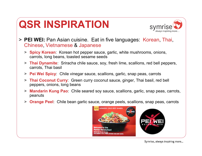![](_page_3_Picture_1.jpeg)

- > **PEI WEI:** Pan Asian cuisine. Eat in five languages: Korean, Thai, Chinese, Vietnamese & Japanese
	- > **Spicy Korean**: Korean hot pepper sauce, garlic, white mushrooms, onions, carrots, long beans, toasted sesame seeds
	- > **Thai Dynamite**: Sriracha chile sauce, soy, fresh lime, scallions, red bell peppers, carrots, Thai basil
	- > **Pei Wei Spicy**: Chile vinegar sauce, scallions, garlic, snap peas, carrots
	- > **Thai Coconut Curry**: Green curry coconut sauce, ginger, Thai basil, red bell peppers, onions, long beans
	- > **Mandarin Kung Pao**: Chile seared soy sauce, scallions, garlic, snap peas, carrots, peanuts
	- > **Orange Peel**: Chile bean garlic sauce, orange peels, scallions, snap peas, carrots

![](_page_3_Picture_9.jpeg)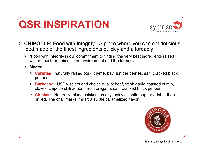![](_page_4_Picture_1.jpeg)

- > **CHIPOTLE:** Food with Integrity. A place where you can eat delicious food made of the finest ingredients quickly and affordably
	- > "Food with integrity is our commitment to finding the very best ingredients raised >>>>>>>>>>>>>> with respect for animals, the environment and the farmers."
	- > **Meats:**
		- > **Carnitas**: naturally raised pork, thyme, bay, juniper berries, salt, cracked black pepper
		- > **Barbacoa**: USDA select and choice quality beef, fresh garlic, toasted cumin, cloves, chipotle chili adobo, fresh oregano, salt, cracked black pepper
		- > **Chicken**: Naturally raised chicken, smoky, spicy chipotle pepper adobo, then grilled. The char marks impart a subtle caramelized flavor.

![](_page_4_Picture_8.jpeg)